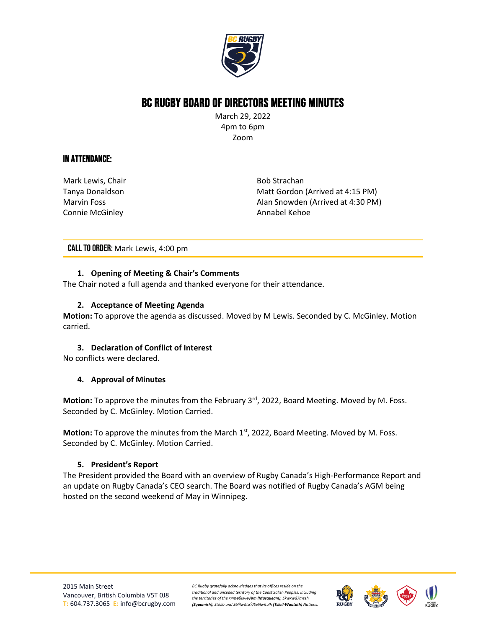

# BC Rugby Board of Directors Meeting Minutes

March 29, 2022 4pm to 6pm Zoom

### In Attendance:

Mark Lewis, Chair Tanya Donaldson Marvin Foss Connie McGinley

Bob Strachan Matt Gordon (Arrived at 4:15 PM) Alan Snowden (Arrived at 4:30 PM) Annabel Kehoe

CALL TO ORDER: Mark Lewis, 4:00 pm

#### **1. Opening of Meeting & Chair's Comments**

The Chair noted a full agenda and thanked everyone for their attendance.

#### **2. Acceptance of Meeting Agenda**

**Motion:** To approve the agenda as discussed. Moved by M Lewis. Seconded by C. McGinley. Motion carried.

#### **3. Declaration of Conflict of Interest**

No conflicts were declared.

#### **4. Approval of Minutes**

Motion: To approve the minutes from the February 3<sup>rd</sup>, 2022, Board Meeting. Moved by M. Foss. Seconded by C. McGinley. Motion Carried.

**Motion:** To approve the minutes from the March 1<sup>st</sup>, 2022, Board Meeting. Moved by M. Foss. Seconded by C. McGinley. Motion Carried.

#### **5. President's Report**

The President provided the Board with an overview of Rugby Canada's High-Performance Report and an update on Rugby Canada's CEO search. The Board was notified of Rugby Canada's AGM being hosted on the second weekend of May in Winnipeg.



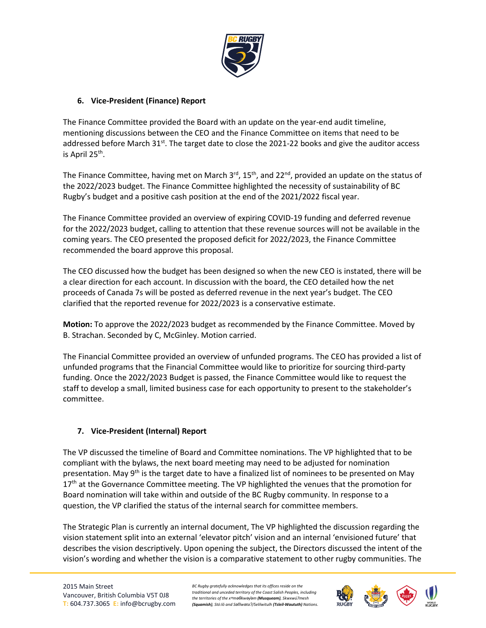

#### **6. Vice-President (Finance) Report**

The Finance Committee provided the Board with an update on the year-end audit timeline, mentioning discussions between the CEO and the Finance Committee on items that need to be addressed before March  $31^{st}$ . The target date to close the 2021-22 books and give the auditor access is April 25th.

The Finance Committee, having met on March  $3<sup>rd</sup>$ , 15<sup>th</sup>, and 22<sup>nd</sup>, provided an update on the status of the 2022/2023 budget. The Finance Committee highlighted the necessity of sustainability of BC Rugby's budget and a positive cash position at the end of the 2021/2022 fiscal year.

The Finance Committee provided an overview of expiring COVID-19 funding and deferred revenue for the 2022/2023 budget, calling to attention that these revenue sources will not be available in the coming years. The CEO presented the proposed deficit for 2022/2023, the Finance Committee recommended the board approve this proposal.

The CEO discussed how the budget has been designed so when the new CEO is instated, there will be a clear direction for each account. In discussion with the board, the CEO detailed how the net proceeds of Canada 7s will be posted as deferred revenue in the next year's budget. The CEO clarified that the reported revenue for 2022/2023 is a conservative estimate.

**Motion:** To approve the 2022/2023 budget as recommended by the Finance Committee. Moved by B. Strachan. Seconded by C, McGinley. Motion carried.

The Financial Committee provided an overview of unfunded programs. The CEO has provided a list of unfunded programs that the Financial Committee would like to prioritize for sourcing third-party funding. Once the 2022/2023 Budget is passed, the Finance Committee would like to request the staff to develop a small, limited business case for each opportunity to present to the stakeholder's committee.

#### **7. Vice-President (Internal) Report**

The VP discussed the timeline of Board and Committee nominations. The VP highlighted that to be compliant with the bylaws, the next board meeting may need to be adjusted for nomination presentation. May  $9<sup>th</sup>$  is the target date to have a finalized list of nominees to be presented on May 17<sup>th</sup> at the Governance Committee meeting. The VP highlighted the venues that the promotion for Board nomination will take within and outside of the BC Rugby community. In response to a question, the VP clarified the status of the internal search for committee members.

The Strategic Plan is currently an internal document, The VP highlighted the discussion regarding the vision statement split into an external 'elevator pitch' vision and an internal 'envisioned future' that describes the vision descriptively. Upon opening the subject, the Directors discussed the intent of the vision's wording and whether the vision is a comparative statement to other rugby communities. The

*BC Rugby gratefully acknowledges that its offices reside on the traditional and unceded territory of the Coast Salish Peoples, including the territories of the xʷməθkwəy̓əm (Musqueam), Skwxwú7mesh (Squamish), Stó:lō and Səl̓ílwətaʔ/Selilwitulh (Tsleil-Waututh) Nations.*

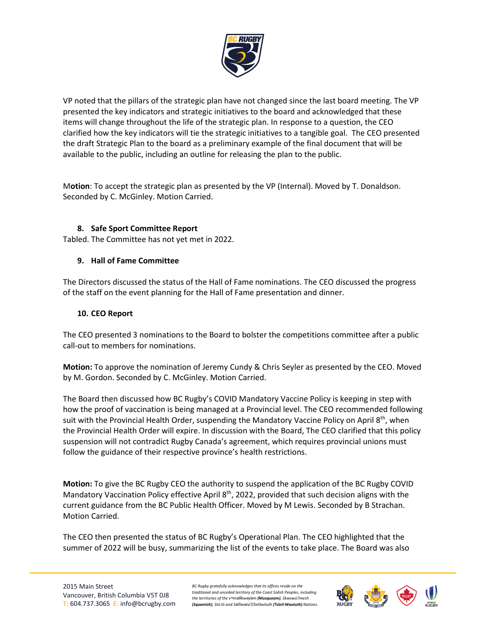

VP noted that the pillars of the strategic plan have not changed since the last board meeting. The VP presented the key indicators and strategic initiatives to the board and acknowledged that these items will change throughout the life of the strategic plan. In response to a question, the CEO clarified how the key indicators will tie the strategic initiatives to a tangible goal. The CEO presented the draft Strategic Plan to the board as a preliminary example of the final document that will be available to the public, including an outline for releasing the plan to the public.

M**otion**: To accept the strategic plan as presented by the VP (Internal). Moved by T. Donaldson. Seconded by C. McGinley. Motion Carried.

#### **8. Safe Sport Committee Report**

Tabled. The Committee has not yet met in 2022.

#### **9. Hall of Fame Committee**

The Directors discussed the status of the Hall of Fame nominations. The CEO discussed the progress of the staff on the event planning for the Hall of Fame presentation and dinner.

#### **10. CEO Report**

The CEO presented 3 nominations to the Board to bolster the competitions committee after a public call-out to members for nominations.

**Motion:** To approve the nomination of Jeremy Cundy & Chris Seyler as presented by the CEO. Moved by M. Gordon. Seconded by C. McGinley. Motion Carried.

The Board then discussed how BC Rugby's COVID Mandatory Vaccine Policy is keeping in step with how the proof of vaccination is being managed at a Provincial level. The CEO recommended following suit with the Provincial Health Order, suspending the Mandatory Vaccine Policy on April  $8<sup>th</sup>$ , when the Provincial Health Order will expire. In discussion with the Board, The CEO clarified that this policy suspension will not contradict Rugby Canada's agreement, which requires provincial unions must follow the guidance of their respective province's health restrictions.

**Motion:** To give the BC Rugby CEO the authority to suspend the application of the BC Rugby COVID Mandatory Vaccination Policy effective April 8<sup>th</sup>, 2022, provided that such decision aligns with the current guidance from the BC Public Health Officer. Moved by M Lewis. Seconded by B Strachan. Motion Carried.

The CEO then presented the status of BC Rugby's Operational Plan. The CEO highlighted that the summer of 2022 will be busy, summarizing the list of the events to take place. The Board was also

*BC Rugby gratefully acknowledges that its offices reside on the traditional and unceded territory of the Coast Salish Peoples, including the territories of the xʷməθkwəy̓əm (Musqueam), Skwxwú7mesh (Squamish), Stó:lō and Səl̓ílwətaʔ/Selilwitulh (Tsleil-Waututh) Nations.*